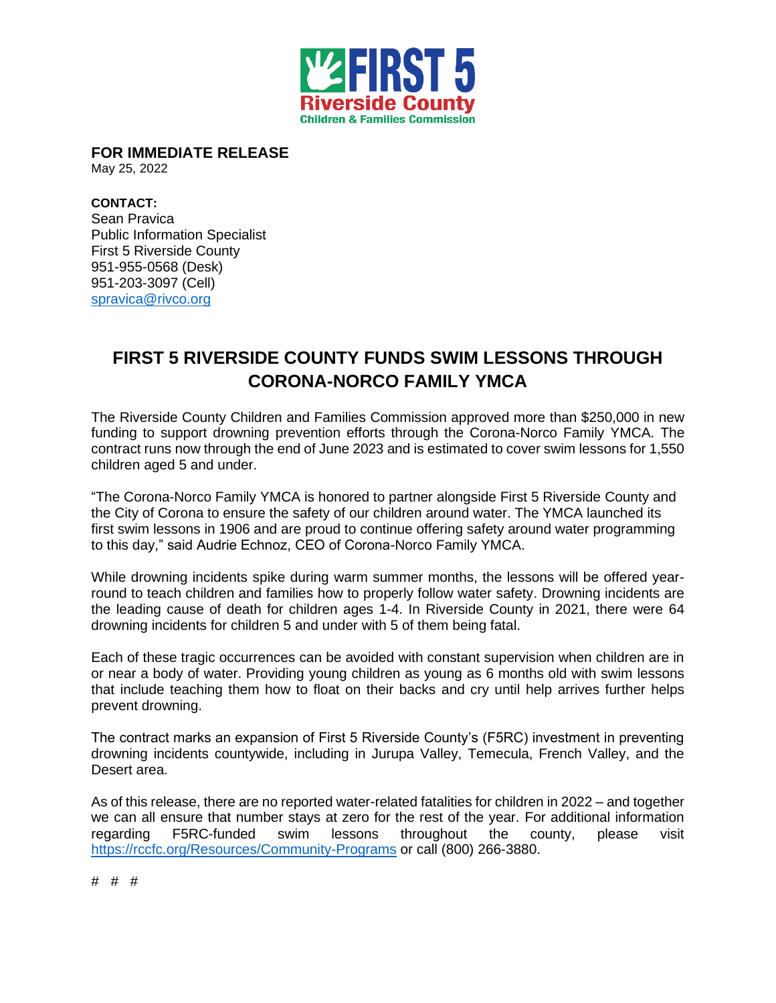

**FOR IMMEDIATE RELEASE** 

May 25, 2022

**CONTACT:**  Sean Pravica Public Information Specialist First 5 Riverside County 951-955-0568 (Desk) 951-203-3097 (Cell) [spravica@rivco.org](mailto:spravica@rivco.org)

## **FIRST 5 RIVERSIDE COUNTY FUNDS SWIM LESSONS THROUGH CORONA-NORCO FAMILY YMCA**

The Riverside County Children and Families Commission approved more than \$250,000 in new funding to support drowning prevention efforts through the Corona-Norco Family YMCA. The contract runs now through the end of June 2023 and is estimated to cover swim lessons for 1,550 children aged 5 and under.

"The Corona-Norco Family YMCA is honored to partner alongside First 5 Riverside County and the City of Corona to ensure the safety of our children around water. The YMCA launched its first swim lessons in 1906 and are proud to continue offering safety around water programming to this day," said Audrie Echnoz, CEO of Corona-Norco Family YMCA.

While drowning incidents spike during warm summer months, the lessons will be offered yearround to teach children and families how to properly follow water safety. Drowning incidents are the leading cause of death for children ages 1-4. In Riverside County in 2021, there were 64 drowning incidents for children 5 and under with 5 of them being fatal.

Each of these tragic occurrences can be avoided with constant supervision when children are in or near a body of water. Providing young children as young as 6 months old with swim lessons that include teaching them how to float on their backs and cry until help arrives further helps prevent drowning.

The contract marks an expansion of First 5 Riverside County's (F5RC) investment in preventing drowning incidents countywide, including in Jurupa Valley, Temecula, French Valley, and the Desert area.

As of this release, there are no reported water-related fatalities for children in 2022 – and together we can all ensure that number stays at zero for the rest of the year. For additional information regarding F5RC-funded swim lessons throughout the county, please visit <https://rccfc.org/Resources/Community-Programs> or call (800) 266-3880.

# # #